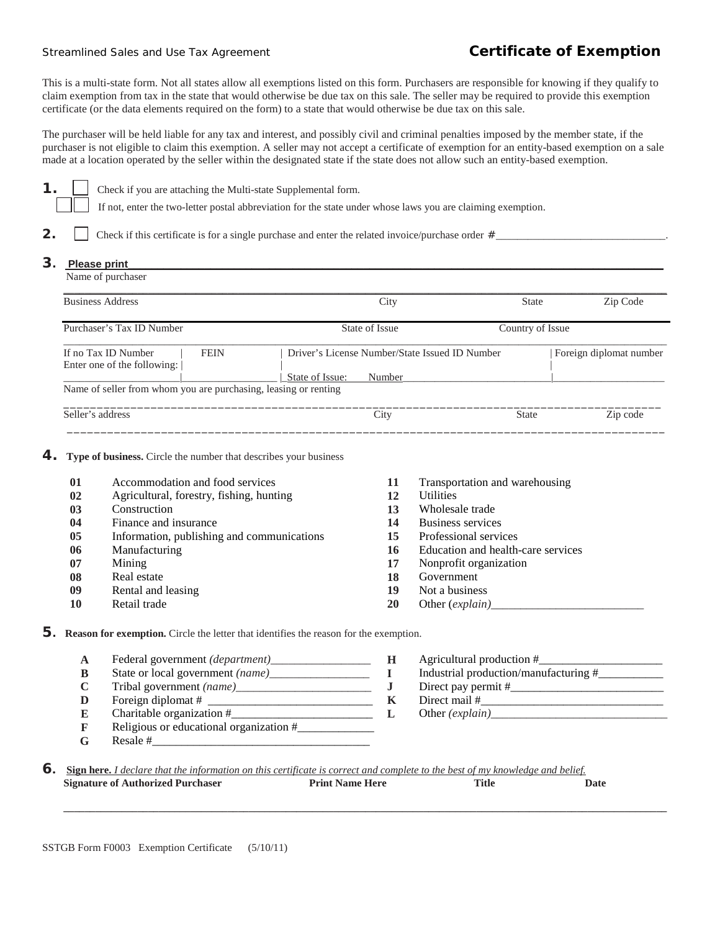## Streamlined Sales and Use Tax Agreement **Certificate of Exemption**

This is a multi-state form. Not all states allow all exemptions listed on this form. Purchasers are responsible for knowing if they qualify to claim exemption from tax in the state that would otherwise be due tax on this sale. The seller may be required to provide this exemption certificate (or the data elements required on the form) to a state that would otherwise be due tax on this sale.

The purchaser will be held liable for any tax and interest, and possibly civil and criminal penalties imposed by the member state, if the purchaser is not eligible to claim this exemption. A seller may not accept a certificate of exemption for an entity-based exemption on a sale made at a location operated by the seller within the designated state if the state does not allow such an entity-based exemption.

**1. 1.** Check if you are attaching the Multi-state Supplemental form.

If not, enter the two-letter postal abbreviation for the state under whose laws you are claiming exemption.

**2.** Check if this certificate is for a single purchase and enter the related invoice/purchase order  $\#$ 

## **3.** Please print

| Name of purchaser                                                 |                                                |                  |                         |
|-------------------------------------------------------------------|------------------------------------------------|------------------|-------------------------|
| <b>Business Address</b>                                           | City                                           | <b>State</b>     | Zip Code                |
| Purchaser's Tax ID Number                                         | State of Issue                                 | Country of Issue |                         |
| If no Tax ID Number<br><b>FEIN</b><br>Enter one of the following: | Driver's License Number/State Issued ID Number |                  | Foreign diplomat number |
|                                                                   | State of Issue:<br>Number                      |                  |                         |
| Name of seller from whom you are purchasing, leasing or renting   |                                                |                  |                         |
| Seller's address                                                  | City                                           | <b>State</b>     | Zip code                |

\_\_\_\_\_\_\_\_\_\_\_\_\_\_\_\_\_\_\_\_\_\_\_\_\_\_\_\_\_\_\_\_\_\_\_\_\_\_\_\_\_\_\_\_\_\_\_\_\_\_\_\_\_\_\_\_\_\_\_\_\_\_\_\_\_\_\_\_\_\_\_\_\_\_\_\_\_\_\_\_\_\_\_\_\_\_\_\_\_

## **4.** Type of business. Circle the number that describes your business

| 01 | Accommodation and food services            | 11 | Transportation and warehousing     |
|----|--------------------------------------------|----|------------------------------------|
| 02 | Agricultural, forestry, fishing, hunting   | 12 | <b>Utilities</b>                   |
| 03 | Construction                               | 13 | Wholesale trade                    |
| 04 | Finance and insurance                      | 14 | Business services                  |
| 05 | Information, publishing and communications | 15 | Professional services              |
| 06 | Manufacturing                              | 16 | Education and health-care services |
| 07 | Mining                                     | 17 | Nonprofit organization             |
| 08 | Real estate                                | 18 | Government                         |
| 09 | Rental and leasing                         | 19 | Not a business                     |
| 10 | Retail trade                               | 20 | Other $(explain)$                  |

**5. Reason for exemption.** Circle the letter that identifies the reason for the exemption.

- **A** Federal government *(department)\_\_\_\_\_\_\_\_\_\_\_\_\_\_\_\_\_* **H** Agricultural production #\_\_\_\_\_\_\_\_\_\_\_\_\_\_\_\_\_\_\_\_\_
- 
- 
- 
- **E** Charitable organization  $\#$   $\qquad \qquad$  **L**  $\qquad \qquad$  **E** Religious or educational organization  $\#$ **F** Religious or educational organization #\_\_\_\_\_\_\_\_\_\_\_\_\_
- $G$  Resale #
- **B** State or local government *(name)\_\_\_\_\_\_\_\_\_\_\_\_\_\_\_\_\_* **I** Industrial production/manufacturing #\_\_\_\_\_\_\_\_\_\_\_ **C** Tribal government *(name)\_\_\_\_\_\_\_\_\_\_\_\_\_\_\_\_\_\_\_\_\_\_\_* **J** Direct pay permit #\_\_\_\_\_\_\_\_\_\_\_\_\_\_\_\_\_\_\_\_\_\_\_\_\_\_ **D** Foreign diplomat # \_\_\_\_\_\_\_\_\_\_\_\_\_\_\_\_\_\_\_\_\_\_\_\_\_\_\_\_ **K** Direct mail #\_\_\_\_\_\_\_\_\_\_\_\_\_\_\_\_\_\_\_\_\_\_\_\_\_\_\_\_\_\_\_
- **6.** Sign here. *I declare that the information on this certificate is correct and complete to the best of my knowledge and belief.<br>Signature of Authorized Purchaser Print Name Here Title Date* **Signature of Authorized Purchaser**

 **\_\_\_\_\_\_\_\_\_\_\_\_\_\_\_\_\_\_\_\_\_\_\_\_\_\_\_\_\_\_\_\_\_\_\_\_\_\_\_\_\_\_\_\_\_\_\_\_\_\_\_\_\_\_\_\_\_\_\_\_\_\_\_\_\_\_\_\_\_\_\_\_\_\_\_\_\_\_\_\_\_\_\_\_\_\_\_\_\_\_\_\_\_\_\_\_\_\_\_\_\_\_\_\_\_\_\_\_\_\_\_\_\_\_**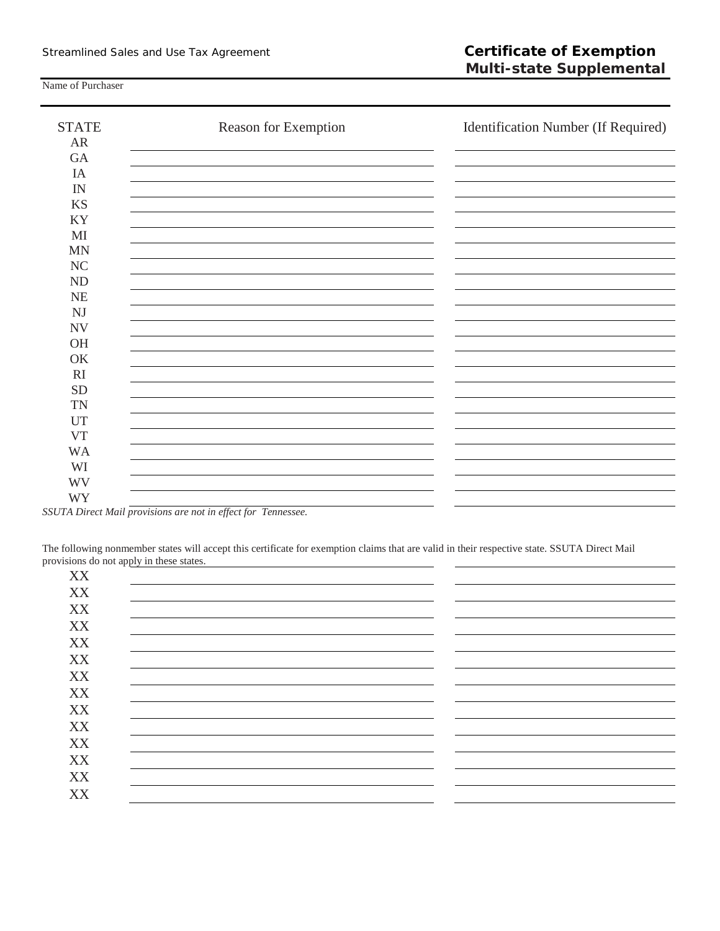Name of Purchaser

| <b>STATE</b> | Reason for Exemption | Identification Number (If Required) |
|--------------|----------------------|-------------------------------------|
| AR           |                      |                                     |
| GA           |                      |                                     |
| IA           |                      |                                     |
| IN           |                      |                                     |
| <b>KS</b>    |                      |                                     |
| KY           |                      |                                     |
| MI           |                      |                                     |
| <b>MN</b>    |                      |                                     |
| <b>NC</b>    |                      |                                     |
| ND           |                      |                                     |
| NE           |                      |                                     |
| NJ           |                      |                                     |
| <b>NV</b>    |                      |                                     |
| OH           |                      |                                     |
| OK           |                      |                                     |
| RI           |                      |                                     |
| ${\rm SD}$   |                      |                                     |
| <b>TN</b>    |                      |                                     |
| <b>UT</b>    |                      |                                     |
| <b>VT</b>    |                      |                                     |
| <b>WA</b>    |                      |                                     |
| WI           |                      |                                     |
| <b>WV</b>    |                      |                                     |
| <b>WY</b>    |                      |                                     |

*SSUTA Direct Mail provisions are not in effect for Tennessee.*

The following nonmember states will accept this certificate for exemption claims that are valid in their respective state. SSUTA Direct Mail provisions do not apply in these states.

| XX |  |
|----|--|
| XX |  |
| XX |  |
| XX |  |
| XX |  |
| XX |  |
| XX |  |
| XX |  |
| XX |  |
| XX |  |
| XX |  |
| XX |  |
| XX |  |
| XX |  |
|    |  |